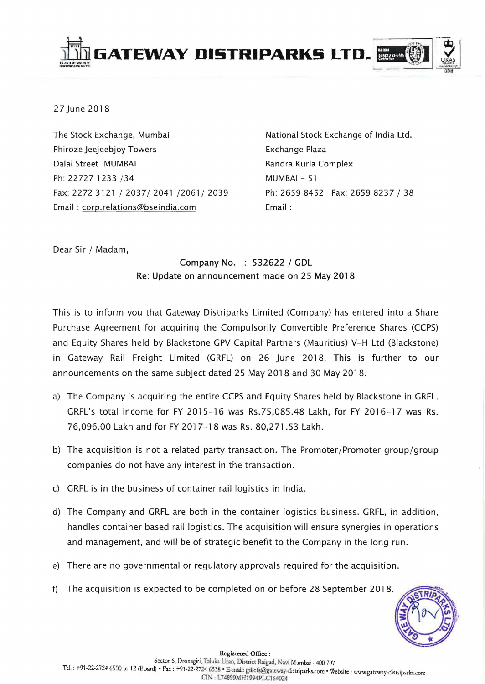

27 June 2018

The Stock Exchange, Mumbai Phiroze Jeejeebjoy Towers Dalal Street MUMBAI Ph: 22727 1233 /34 Fax: 2272 3121/2037/2041/2061/2039 Email: corp.relations@bseindia.com

National Stock Exchange of India Ltd. Exchange Plaza Bandra Kurla Complex MUMBAI - 51 Ph: 2659 8452 Fax: 2659 8237 / 38 Email:

Dear Sir / Madam,

## Company No. : 532622 / GDL Re: Update on announcement made on 25 May 2018

This is to inform you that Gateway Distriparks Limited (Company) has entered into a Share Purchase Agreement for acquiring the Compulsorily Convertible Preference Shares (CCPS) and Equity Shares held by Blackstone GPV Capital Partners (Mauritius) V-H Ltd (Blackstone) in Gateway Rail Freight Limited (GRFL) on 26 June 2018. This is further to our announcements on the same subject dated 25 May 2018 and 30 May 2018.

- a) The Company is acquiring the entire CCPS and Equity Shares held by Blackstone in GRFL. GRFL's total income for FY 2015-16 was Rs.75,085.48 Lakh, for FY 2016-17 was Rs. 76,096.00 Lakh and for FY 2017-18 was Rs. 80,271.53 Lakh.
- b) The acquisition is not a related party transaction. The Promoter/Promoter group/group companies do not have any interest in the transaction.
- c) GRFL is in the business of container rail logistics in India.
- d) The Company and GRFL are both in the container logistics business. GRFL, in addition, handles container based rail logistics. The acquisition will ensure synergies in operations and management, and will be of strategic benefit to the Company in the long run.
- e) There are no governmental or regulatory approvals required for the acquisition.
- f) The acquisition is expected to be completed on or before 28 September 2018.